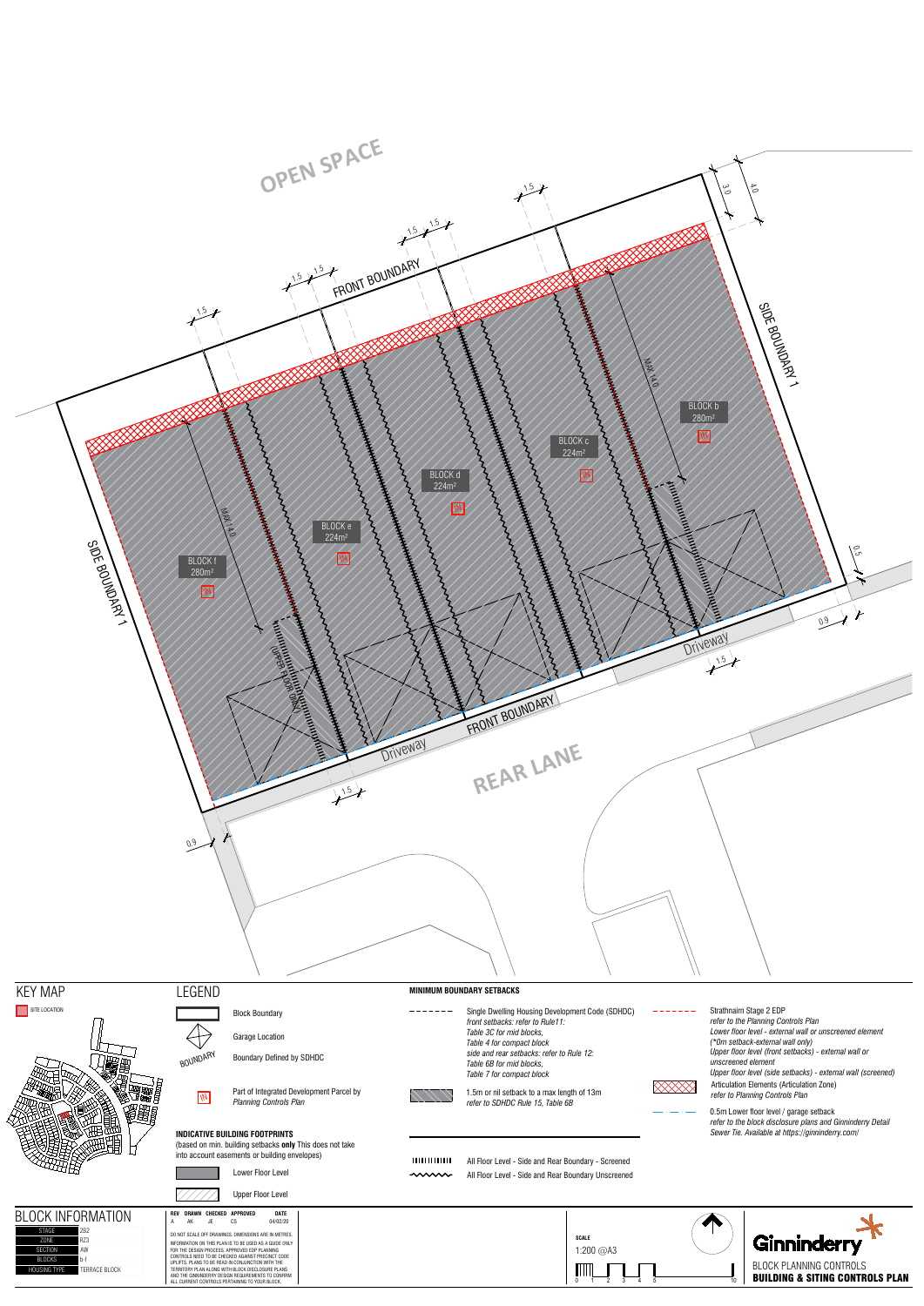**SCALE** 1:200 @A3

MM.

0 1 2 3 4 5 10 **D** 

المستملية

⋙



 $\bigoplus$ 

BLOCK PLANNING CONTROLS

Ginninderry

BUILDING & SITING CONTROLS PLAN

Block Boundary Garage Location

BOUNDARY Boundary Defined by SDHDC

Part of Integrated Development Parcel by<br>Planning Controls Plan



## BLOCK INFORMATION **REV DRAWN CHECKED DATE** <sup>A</sup> AK JE CS 04/02/20 **APPROVED** RZ3  $AW$ BLOCKS **b-f**

TERRACE BLOCK

| IDC. |  |  |  |
|------|--|--|--|



information on this plan is to be used as a guide only<br>For the design process. Approved edp planning<br>Controls need to be checked against precinct code<br>UPLIFIS. Plans to be checked against precinct code<br>Territory Plan along

(based on min. building setbacks **only** This does not take into account easements or building envelopes)



Lower Floor Level



DO NOT SCALE OFF DRAWINGS. DIMENSIONS ARE IN METRES.

All Floor Level - Side and Rear Boundary - Screened

All Floor Level - Side and Rear Boundary Unscreened





Single Dwelling Housing Development Code (SDHDC)

*front setbacks: refer to Rule11: Table 3C for mid blocks, Table 4 for compact block*

 $- - - - - - -$ 

Part of Integrated Development Parcel by **Property States In the State of Indian** In the Manning Controls Plan<br>*Planning Controls Plan* 

*side and rear setbacks: refer to Rule 12: Table 6B for mid blocks, Table 7 for compact block*

Articulation Elements (Articulation Zone) *refer to Planning Controls Plan* Strathnairn Stage 2 EDP *refer to the Planning Controls Plan Lower floor level - external wall or unscreened element (\*0m setback-external wall only) Upper floor level (front setbacks) - external wall or unscreened element Upper floor level (side setbacks) - external wall (screened)*

0.5m Lower floor level / garage setback *refer to the block disclosure plans and Ginninderry Detail Sewer Tie. Available at https://ginninderry.com/*